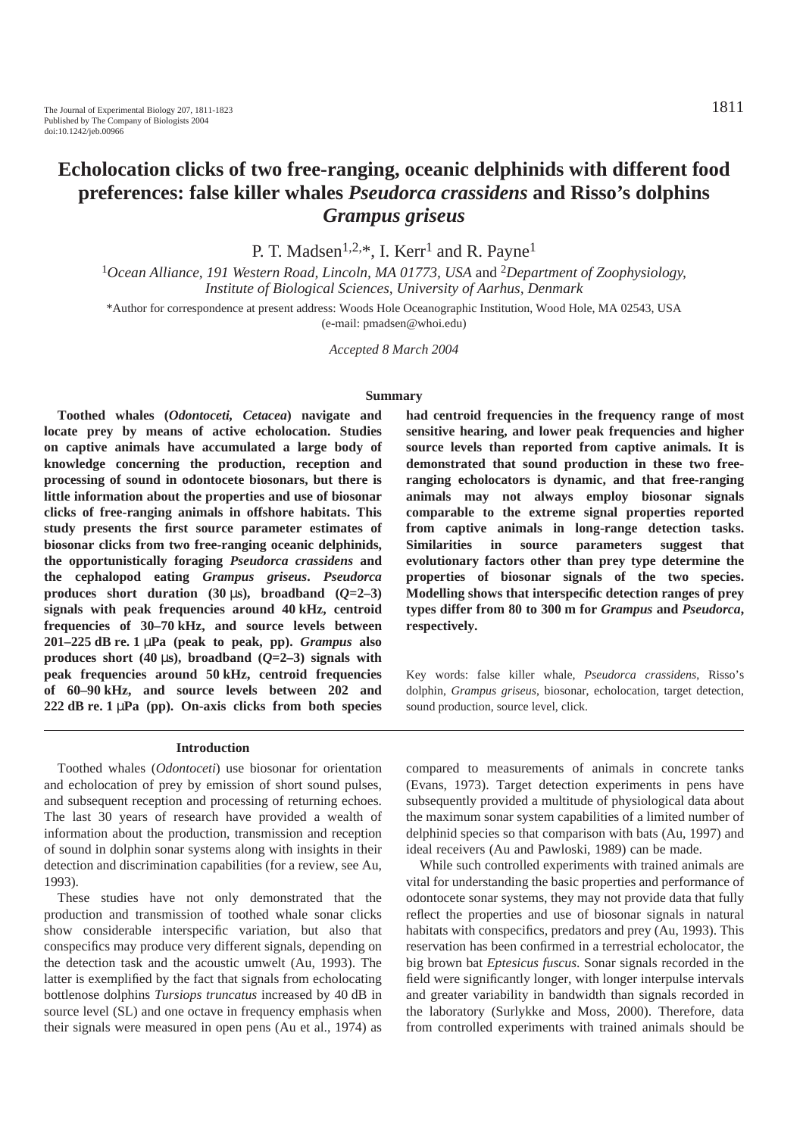# **Echolocation clicks of two free-ranging, oceanic delphinids with different food preferences: false killer whales** *Pseudorca crassidens* **and Risso's dolphins** *Grampus griseus*

P. T. Madsen<sup>1,2,\*</sup>, I. Kerr<sup>1</sup> and R. Payne<sup>1</sup>

<sup>1</sup>*Ocean Alliance, 191 Western Road, Lincoln, MA 01773, USA* and 2*Department of Zoophysiology, Institute of Biological Sciences, University of Aarhus, Denmark*

\*Author for correspondence at present address: Woods Hole Oceanographic Institution, Wood Hole, MA 02543, USA (e-mail: pmadsen@whoi.edu)

*Accepted 8 March 2004*

#### **Summary**

**Toothed whales (***Odontoceti, Cetacea***) navigate and locate prey by means of active echolocation. Studies on captive animals have accumulated a large body of knowledge concerning the production, reception and processing of sound in odontocete biosonars, but there is little information about the properties and use of biosonar clicks of free-ranging animals in offshore habitats. This study presents the first source parameter estimates of biosonar clicks from two free-ranging oceanic delphinids, the opportunistically foraging** *Pseudorca crassidens* **and the cephalopod eating** *Grampus griseus***.** *Pseudorca* **produces short duration (30** $\mu$ **s**), broadband ( $Q = 2-3$ ) signals with peak frequencies around 40 kHz, centroid **frequencies of 30–70·kHz, and source levels between**  $201-225$  dB re.  $1 \mu Pa$  (peak to peak, pp). *Grampus* also produces short (40  $\mu$ s), broadband ( $O=2-3$ ) signals with **peak frequencies around 50·kHz, centroid frequencies of 60–90·kHz, and source levels between 202 and 222·dB·re.·1·**µ**Pa (pp). On-axis clicks from both species** **had centroid frequencies in the frequency range of most sensitive hearing, and lower peak frequencies and higher source levels than reported from captive animals. It is demonstrated that sound production in these two freeranging echolocators is dynamic, and that free-ranging animals may not always employ biosonar signals comparable to the extreme signal properties reported from captive animals in long-range detection tasks. Similarities in source parameters suggest that evolutionary factors other than prey type determine the properties of biosonar signals of the two species. Modelling shows that interspecific detection ranges of prey types differ from 80 to 300·m for** *Grampus* **and** *Pseudorca***, respectively.**

Key words: false killer whale, *Pseudorca crassidens*, Risso's dolphin, *Grampus griseus*, biosonar, echolocation, target detection, sound production, source level, click.

#### **Introduction**

Toothed whales (*Odontoceti*) use biosonar for orientation and echolocation of prey by emission of short sound pulses, and subsequent reception and processing of returning echoes. The last 30 years of research have provided a wealth of information about the production, transmission and reception of sound in dolphin sonar systems along with insights in their detection and discrimination capabilities (for a review, see Au, 1993).

These studies have not only demonstrated that the production and transmission of toothed whale sonar clicks show considerable interspecific variation, but also that conspecifics may produce very different signals, depending on the detection task and the acoustic umwelt (Au, 1993). The latter is exemplified by the fact that signals from echolocating bottlenose dolphins *Tursiops truncatus* increased by 40 dB in source level (SL) and one octave in frequency emphasis when their signals were measured in open pens (Au et al., 1974) as compared to measurements of animals in concrete tanks (Evans, 1973). Target detection experiments in pens have subsequently provided a multitude of physiological data about the maximum sonar system capabilities of a limited number of delphinid species so that comparison with bats (Au, 1997) and ideal receivers (Au and Pawloski, 1989) can be made.

While such controlled experiments with trained animals are vital for understanding the basic properties and performance of odontocete sonar systems, they may not provide data that fully reflect the properties and use of biosonar signals in natural habitats with conspecifics, predators and prey (Au, 1993). This reservation has been confirmed in a terrestrial echolocator, the big brown bat *Eptesicus fuscus*. Sonar signals recorded in the field were significantly longer, with longer interpulse intervals and greater variability in bandwidth than signals recorded in the laboratory (Surlykke and Moss, 2000). Therefore, data from controlled experiments with trained animals should be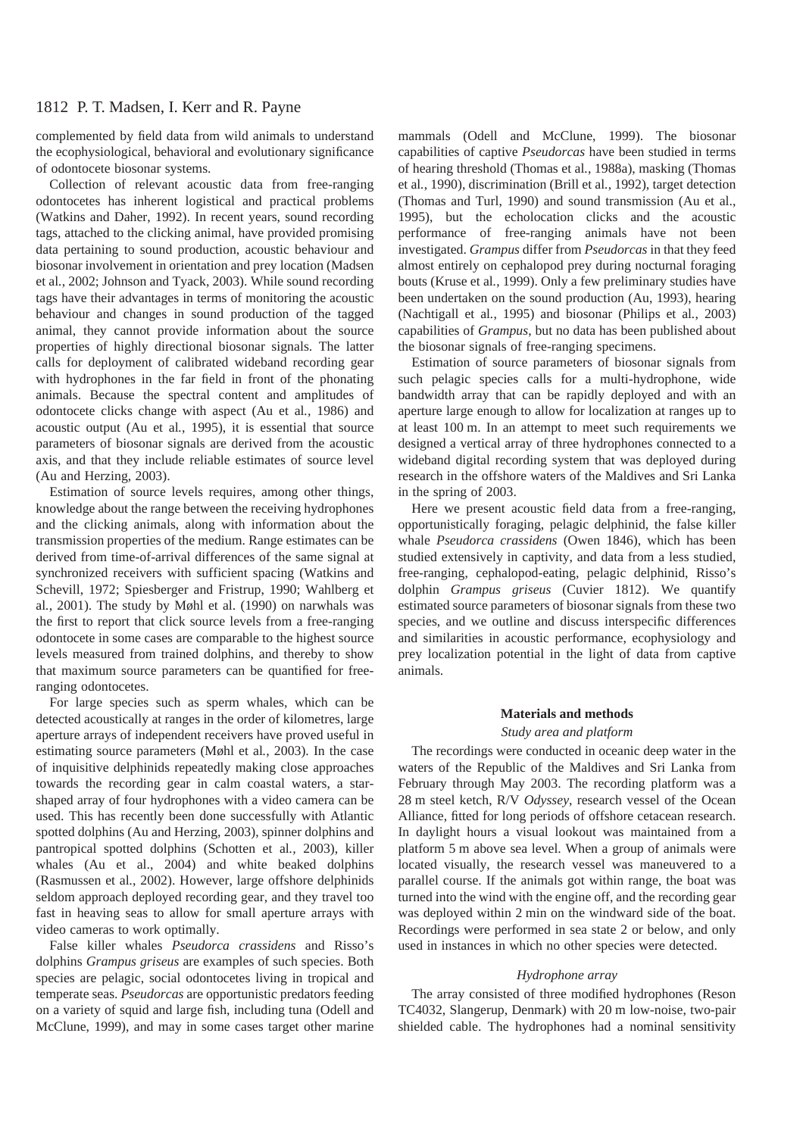complemented by field data from wild animals to understand the ecophysiological, behavioral and evolutionary significance of odontocete biosonar systems.

Collection of relevant acoustic data from free-ranging odontocetes has inherent logistical and practical problems (Watkins and Daher, 1992). In recent years, sound recording tags, attached to the clicking animal, have provided promising data pertaining to sound production, acoustic behaviour and biosonar involvement in orientation and prey location (Madsen et al*.*, 2002; Johnson and Tyack, 2003). While sound recording tags have their advantages in terms of monitoring the acoustic behaviour and changes in sound production of the tagged animal, they cannot provide information about the source properties of highly directional biosonar signals. The latter calls for deployment of calibrated wideband recording gear with hydrophones in the far field in front of the phonating animals. Because the spectral content and amplitudes of odontocete clicks change with aspect (Au et al*.,* 1986) and acoustic output (Au et al*.*, 1995), it is essential that source parameters of biosonar signals are derived from the acoustic axis, and that they include reliable estimates of source level (Au and Herzing, 2003).

Estimation of source levels requires, among other things, knowledge about the range between the receiving hydrophones and the clicking animals, along with information about the transmission properties of the medium. Range estimates can be derived from time-of-arrival differences of the same signal at synchronized receivers with sufficient spacing (Watkins and Schevill, 1972; Spiesberger and Fristrup, 1990; Wahlberg et al*.*, 2001). The study by Møhl et al. (1990) on narwhals was the first to report that click source levels from a free-ranging odontocete in some cases are comparable to the highest source levels measured from trained dolphins, and thereby to show that maximum source parameters can be quantified for freeranging odontocetes.

For large species such as sperm whales, which can be detected acoustically at ranges in the order of kilometres, large aperture arrays of independent receivers have proved useful in estimating source parameters (Møhl et al*.*, 2003). In the case of inquisitive delphinids repeatedly making close approaches towards the recording gear in calm coastal waters, a starshaped array of four hydrophones with a video camera can be used. This has recently been done successfully with Atlantic spotted dolphins (Au and Herzing, 2003), spinner dolphins and pantropical spotted dolphins (Schotten et al*.,* 2003), killer whales (Au et al., 2004) and white beaked dolphins (Rasmussen et al*.*, 2002). However, large offshore delphinids seldom approach deployed recording gear, and they travel too fast in heaving seas to allow for small aperture arrays with video cameras to work optimally.

False killer whales *Pseudorca crassidens* and Risso's dolphins *Grampus griseus* are examples of such species. Both species are pelagic, social odontocetes living in tropical and temperate seas. *Pseudorcas* are opportunistic predators feeding on a variety of squid and large fish, including tuna (Odell and McClune, 1999), and may in some cases target other marine mammals (Odell and McClune, 1999). The biosonar capabilities of captive *Pseudorcas* have been studied in terms of hearing threshold (Thomas et al*.*, 1988a), masking (Thomas et al*.*, 1990), discrimination (Brill et al*.*, 1992), target detection (Thomas and Turl, 1990) and sound transmission (Au et al., 1995), but the echolocation clicks and the acoustic performance of free-ranging animals have not been investigated. *Grampus* differ from *Pseudorcas* in that they feed almost entirely on cephalopod prey during nocturnal foraging bouts (Kruse et al*.*, 1999). Only a few preliminary studies have been undertaken on the sound production (Au, 1993), hearing (Nachtigall et al*.*, 1995) and biosonar (Philips et al*.*, 2003) capabilities of *Grampus*, but no data has been published about the biosonar signals of free-ranging specimens.

Estimation of source parameters of biosonar signals from such pelagic species calls for a multi-hydrophone, wide bandwidth array that can be rapidly deployed and with an aperture large enough to allow for localization at ranges up to at least 100 m. In an attempt to meet such requirements we designed a vertical array of three hydrophones connected to a wideband digital recording system that was deployed during research in the offshore waters of the Maldives and Sri Lanka in the spring of 2003.

Here we present acoustic field data from a free-ranging, opportunistically foraging, pelagic delphinid, the false killer whale *Pseudorca crassidens* (Owen 1846), which has been studied extensively in captivity, and data from a less studied, free-ranging, cephalopod-eating, pelagic delphinid, Risso's dolphin *Grampus griseus* (Cuvier 1812). We quantify estimated source parameters of biosonar signals from these two species, and we outline and discuss interspecific differences and similarities in acoustic performance, ecophysiology and prey localization potential in the light of data from captive animals.

## **Materials and methods**

## *Study area and platform*

The recordings were conducted in oceanic deep water in the waters of the Republic of the Maldives and Sri Lanka from February through May 2003. The recording platform was a 28 m steel ketch, R/V Odyssey, research vessel of the Ocean Alliance, fitted for long periods of offshore cetacean research. In daylight hours a visual lookout was maintained from a platform 5 m above sea level. When a group of animals were located visually, the research vessel was maneuvered to a parallel course. If the animals got within range, the boat was turned into the wind with the engine off, and the recording gear was deployed within 2 min on the windward side of the boat. Recordings were performed in sea state 2 or below, and only used in instances in which no other species were detected.

#### *Hydrophone array*

The array consisted of three modified hydrophones (Reson TC4032, Slangerup, Denmark) with 20 m low-noise, two-pair shielded cable. The hydrophones had a nominal sensitivity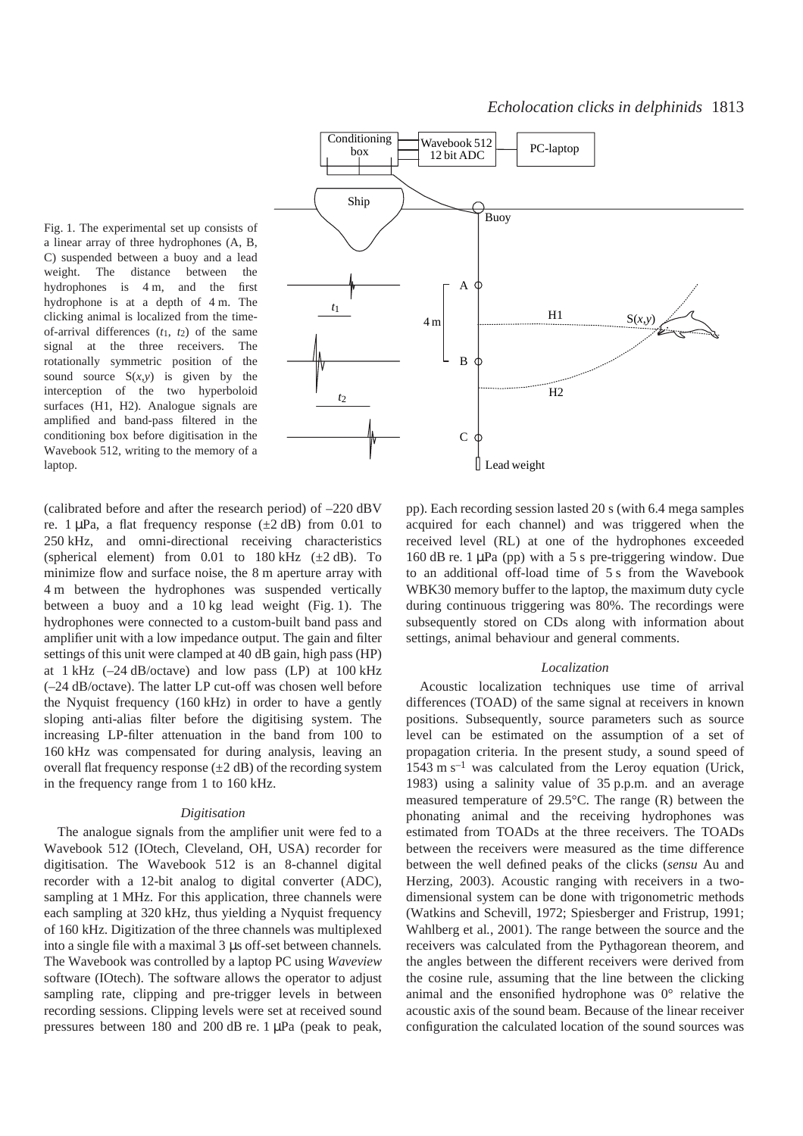Fig. 1. The experimental set up consists of a linear array of three hydrophones (A, B, C) suspended between a buoy and a lead weight. The distance between the hydrophones is 4 m, and the first hydrophone is at a depth of  $4 \text{ m}$ . The clicking animal is localized from the timeof-arrival differences (*t*1, *t*2) of the same signal at the three receivers. The rotationally symmetric position of the sound source  $S(x,y)$  is given by the interception of the two hyperboloid surfaces (H1, H2). Analogue signals are amplified and band-pass filtered in the conditioning box before digitisation in the Wavebook 512, writing to the memory of a laptop.



(calibrated before and after the research period) of  $-220$  dBV re. 1  $\mu$ Pa, a flat frequency response ( $\pm$ 2 dB) from 0.01 to 250 kHz, and omni-directional receiving characteristics (spherical element) from  $0.01$  to  $180 \text{ kHz}$  ( $\pm 2 \text{ dB}$ ). To minimize flow and surface noise, the 8 m aperture array with 4 m between the hydrophones was suspended vertically between a buoy and a  $10 \text{ kg}$  lead weight (Fig. 1). The hydrophones were connected to a custom-built band pass and amplifier unit with a low impedance output. The gain and filter settings of this unit were clamped at 40 dB gain, high pass (HP) at  $1 \text{ kHz}$  (-24 dB/octave) and low pass (LP) at  $100 \text{ kHz}$ (–24·dB/octave). The latter LP cut-off was chosen well before the Nyquist frequency  $(160 \text{ kHz})$  in order to have a gently sloping anti-alias filter before the digitising system. The increasing LP-filter attenuation in the band from 100 to 160 kHz was compensated for during analysis, leaving an overall flat frequency response  $(\pm 2 \text{ dB})$  of the recording system in the frequency range from  $1$  to  $160$  kHz.

#### *Digitisation*

The analogue signals from the amplifier unit were fed to a Wavebook 512 (IOtech, Cleveland, OH, USA) recorder for digitisation. The Wavebook 512 is an 8-channel digital recorder with a 12-bit analog to digital converter (ADC), sampling at 1 MHz. For this application, three channels were each sampling at 320 kHz, thus yielding a Nyquist frequency of 160 kHz. Digitization of the three channels was multiplexed into a single file with a maximal 3  $\mu$ s off-set between channels. The Wavebook was controlled by a laptop PC using *Waveview* software (IOtech). The software allows the operator to adjust sampling rate, clipping and pre-trigger levels in between recording sessions. Clipping levels were set at received sound pressures between 180 and 200 $dB$  re. 1  $\mu$ Pa (peak to peak, pp). Each recording session lasted 20 s (with 6.4 mega samples acquired for each channel) and was triggered when the received level (RL) at one of the hydrophones exceeded 160 dB re. 1  $\mu$ Pa (pp) with a 5 s pre-triggering window. Due to an additional off-load time of 5 s from the Wavebook WBK30 memory buffer to the laptop, the maximum duty cycle during continuous triggering was 80%. The recordings were subsequently stored on CDs along with information about settings, animal behaviour and general comments.

## *Localization*

Acoustic localization techniques use time of arrival differences (TOAD) of the same signal at receivers in known positions. Subsequently, source parameters such as source level can be estimated on the assumption of a set of propagation criteria. In the present study, a sound speed of  $1543 \text{ m s}^{-1}$  was calculated from the Leroy equation (Urick, 1983) using a salinity value of  $35$  p.p.m. and an average measured temperature of 29.5°C. The range (R) between the phonating animal and the receiving hydrophones was estimated from TOADs at the three receivers. The TOADs between the receivers were measured as the time difference between the well defined peaks of the clicks (*sensu* Au and Herzing, 2003). Acoustic ranging with receivers in a twodimensional system can be done with trigonometric methods (Watkins and Schevill, 1972; Spiesberger and Fristrup, 1991; Wahlberg et al*.*, 2001). The range between the source and the receivers was calculated from the Pythagorean theorem, and the angles between the different receivers were derived from the cosine rule, assuming that the line between the clicking animal and the ensonified hydrophone was 0° relative the acoustic axis of the sound beam. Because of the linear receiver configuration the calculated location of the sound sources was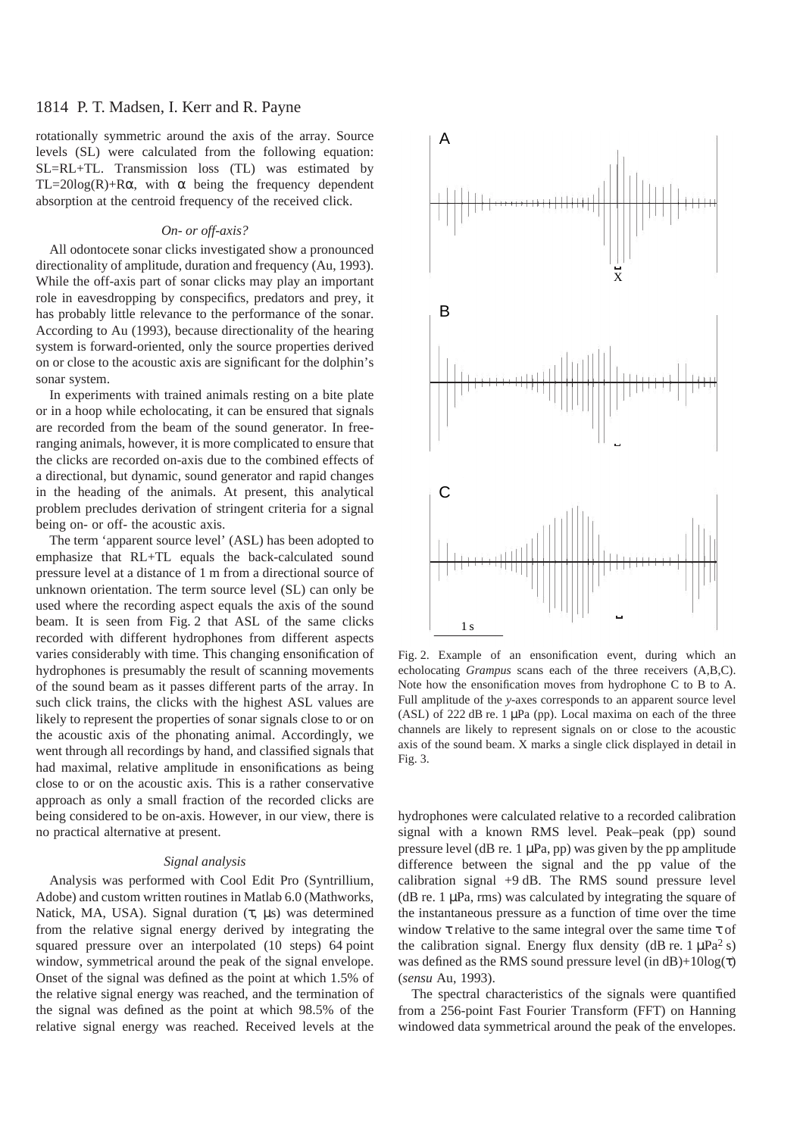rotationally symmetric around the axis of the array. Source levels (SL) were calculated from the following equation: SL=RL+TL. Transmission loss (TL) was estimated by TL=20log(R)+R $\alpha$ , with  $\alpha$  being the frequency dependent absorption at the centroid frequency of the received click.

#### *On- or off-axis?*

All odontocete sonar clicks investigated show a pronounced directionality of amplitude, duration and frequency (Au, 1993). While the off-axis part of sonar clicks may play an important role in eavesdropping by conspecifics, predators and prey, it has probably little relevance to the performance of the sonar. According to Au (1993), because directionality of the hearing system is forward-oriented, only the source properties derived on or close to the acoustic axis are significant for the dolphin's sonar system.

In experiments with trained animals resting on a bite plate or in a hoop while echolocating, it can be ensured that signals are recorded from the beam of the sound generator. In freeranging animals, however, it is more complicated to ensure that the clicks are recorded on-axis due to the combined effects of a directional, but dynamic, sound generator and rapid changes in the heading of the animals. At present, this analytical problem precludes derivation of stringent criteria for a signal being on- or off- the acoustic axis.

The term 'apparent source level' (ASL) has been adopted to emphasize that RL+TL equals the back-calculated sound pressure level at a distance of 1 m from a directional source of unknown orientation. The term source level (SL) can only be used where the recording aspect equals the axis of the sound beam. It is seen from Fig. 2 that ASL of the same clicks recorded with different hydrophones from different aspects varies considerably with time. This changing ensonification of hydrophones is presumably the result of scanning movements of the sound beam as it passes different parts of the array. In such click trains, the clicks with the highest ASL values are likely to represent the properties of sonar signals close to or on the acoustic axis of the phonating animal. Accordingly, we went through all recordings by hand, and classified signals that had maximal, relative amplitude in ensonifications as being close to or on the acoustic axis. This is a rather conservative approach as only a small fraction of the recorded clicks are being considered to be on-axis. However, in our view, there is no practical alternative at present.

## *Signal analysis*

Analysis was performed with Cool Edit Pro (Syntrillium, Adobe) and custom written routines in Matlab 6.0 (Mathworks, Natick, MA, USA). Signal duration  $(τ, μs)$  was determined from the relative signal energy derived by integrating the squared pressure over an interpolated (10 steps) 64 point window, symmetrical around the peak of the signal envelope. Onset of the signal was defined as the point at which 1.5% of the relative signal energy was reached, and the termination of the signal was defined as the point at which 98.5% of the relative signal energy was reached. Received levels at the



Fig. 2. Example of an ensonification event, during which an echolocating *Grampus* scans each of the three receivers (A,B,C). Note how the ensonification moves from hydrophone C to B to A. Full amplitude of the *y*-axes corresponds to an apparent source level (ASL) of 222 dB re.  $1 \mu Pa$  (pp). Local maxima on each of the three channels are likely to represent signals on or close to the acoustic axis of the sound beam. X marks a single click displayed in detail in Fig. 3.

hydrophones were calculated relative to a recorded calibration signal with a known RMS level. Peak–peak (pp) sound pressure level (dB re. 1  $\mu$ Pa, pp) was given by the pp amplitude difference between the signal and the pp value of the calibration signal  $+9$  dB. The RMS sound pressure level ( $dB$  re. 1  $\mu$ Pa, rms) was calculated by integrating the square of the instantaneous pressure as a function of time over the time window  $\tau$  relative to the same integral over the same time  $\tau$  of the calibration signal. Energy flux density (dB re.  $1 \mu Pa^2 s$ ) was defined as the RMS sound pressure level (in  $dB$ )+10log( $\tau$ ) (*sensu* Au, 1993).

The spectral characteristics of the signals were quantified from a 256-point Fast Fourier Transform (FFT) on Hanning windowed data symmetrical around the peak of the envelopes.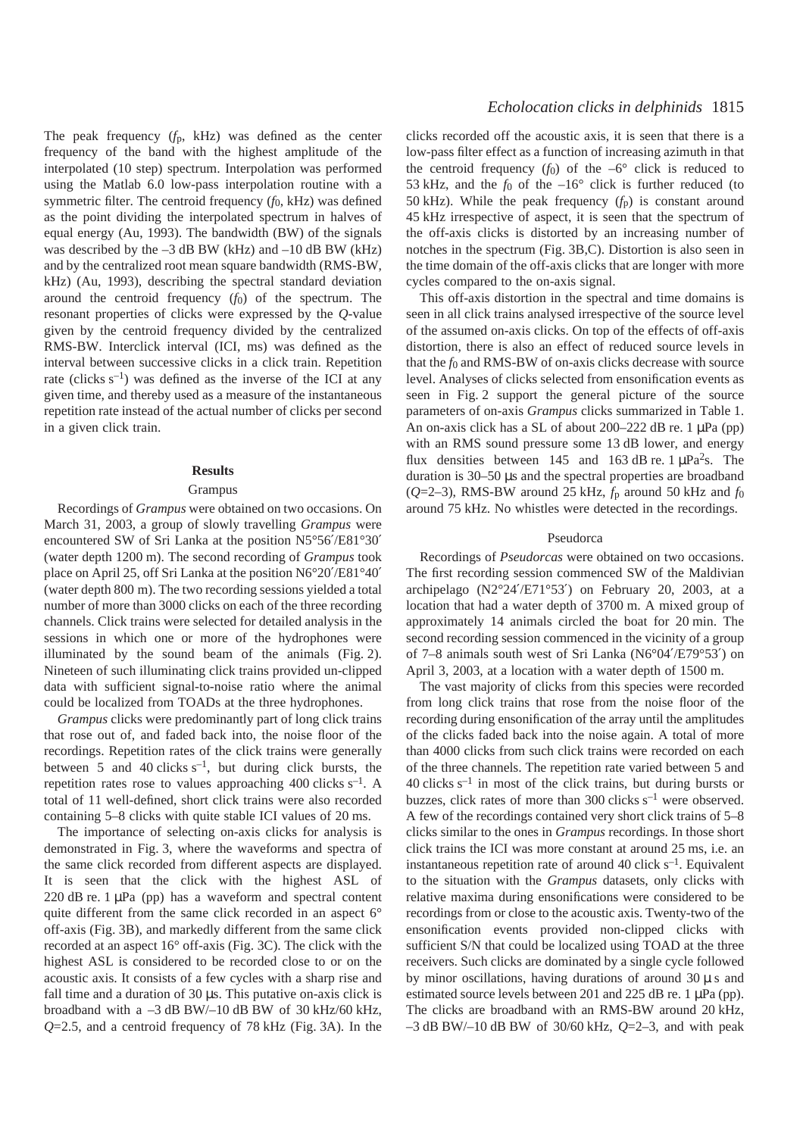The peak frequency (*f*p, kHz) was defined as the center frequency of the band with the highest amplitude of the interpolated (10 step) spectrum. Interpolation was performed using the Matlab 6.0 low-pass interpolation routine with a symmetric filter. The centroid frequency (*f*0, kHz) was defined as the point dividing the interpolated spectrum in halves of equal energy (Au, 1993). The bandwidth (BW) of the signals was described by the  $-3$  dB BW (kHz) and  $-10$  dB BW (kHz) and by the centralized root mean square bandwidth (RMS-BW, kHz) (Au, 1993), describing the spectral standard deviation around the centroid frequency (*f*<sub>0</sub>) of the spectrum. The resonant properties of clicks were expressed by the *Q*-value given by the centroid frequency divided by the centralized RMS-BW. Interclick interval (ICI, ms) was defined as the interval between successive clicks in a click train. Repetition rate (clicks  $s^{-1}$ ) was defined as the inverse of the ICI at any given time, and thereby used as a measure of the instantaneous repetition rate instead of the actual number of clicks per second in a given click train.

## **Results**

#### Grampus

Recordings of *Grampus* were obtained on two occasions. On March 31, 2003, a group of slowly travelling *Grampus* were encountered SW of Sri Lanka at the position N5°56′/E81°30′ (water depth 1200 m). The second recording of *Grampus* took place on April 25, off Sri Lanka at the position N6°20′/E81°40′ (water depth 800 m). The two recording sessions yielded a total number of more than 3000 clicks on each of the three recording channels. Click trains were selected for detailed analysis in the sessions in which one or more of the hydrophones were illuminated by the sound beam of the animals  $(Fig. 2)$ . Nineteen of such illuminating click trains provided un-clipped data with sufficient signal-to-noise ratio where the animal could be localized from TOADs at the three hydrophones.

*Grampus* clicks were predominantly part of long click trains that rose out of, and faded back into, the noise floor of the recordings. Repetition rates of the click trains were generally between 5 and 40 clicks  $s^{-1}$ , but during click bursts, the repetition rates rose to values approaching  $400$  clicks  $s^{-1}$ . A total of 11 well-defined, short click trains were also recorded containing 5–8 clicks with quite stable ICI values of 20 ms.

The importance of selecting on-axis clicks for analysis is demonstrated in Fig. 3, where the waveforms and spectra of the same click recorded from different aspects are displayed. It is seen that the click with the highest ASL of  $220$  dB re. 1  $\mu$ Pa (pp) has a waveform and spectral content quite different from the same click recorded in an aspect 6° off-axis (Fig. 3B), and markedly different from the same click recorded at an aspect  $16^{\circ}$  off-axis (Fig. 3C). The click with the highest ASL is considered to be recorded close to or on the acoustic axis. It consists of a few cycles with a sharp rise and fall time and a duration of  $30 \mu s$ . This putative on-axis click is broadband with a  $-3$  dB BW/ $-10$  dB BW of 30 kHz/60 kHz,  $Q=2.5$ , and a centroid frequency of 78 kHz (Fig. 3A). In the

## *Echolocation clicks in delphinids* 1815

clicks recorded off the acoustic axis, it is seen that there is a low-pass filter effect as a function of increasing azimuth in that the centroid frequency  $(f_0)$  of the  $-6^\circ$  click is reduced to 53 kHz, and the  $f_0$  of the  $-16^\circ$  click is further reduced (to 50 kHz). While the peak frequency  $(f<sub>p</sub>)$  is constant around 45 kHz irrespective of aspect, it is seen that the spectrum of the off-axis clicks is distorted by an increasing number of notches in the spectrum (Fig. 3B,C). Distortion is also seen in the time domain of the off-axis clicks that are longer with more cycles compared to the on-axis signal.

This off-axis distortion in the spectral and time domains is seen in all click trains analysed irrespective of the source level of the assumed on-axis clicks. On top of the effects of off-axis distortion, there is also an effect of reduced source levels in that the  $f_0$  and RMS-BW of on-axis clicks decrease with source level. Analyses of clicks selected from ensonification events as seen in Fig. 2 support the general picture of the source parameters of on-axis *Grampus* clicks summarized in Table 1. An on-axis click has a SL of about  $200-222$  dB re. 1  $\mu$ Pa (pp) with an RMS sound pressure some 13 dB lower, and energy flux densities between 145 and 163 dB re. 1  $\mu$ Pa<sup>2</sup>s. The duration is 30–50 µs and the spectral properties are broadband ( $Q=2-3$ ), RMS-BW around 25 kHz,  $f<sub>p</sub>$  around 50 kHz and  $f<sub>0</sub>$ around 75 kHz. No whistles were detected in the recordings.

## Pseudorca

Recordings of *Pseudorcas* were obtained on two occasions. The first recording session commenced SW of the Maldivian archipelago (N2°24'/E71°53') on February 20, 2003, at a location that had a water depth of 3700 m. A mixed group of approximately 14 animals circled the boat for 20 min. The second recording session commenced in the vicinity of a group of 7–8 animals south west of Sri Lanka (N6°04′/E79°53′) on April 3, 2003, at a location with a water depth of 1500 m.

The vast majority of clicks from this species were recorded from long click trains that rose from the noise floor of the recording during ensonification of the array until the amplitudes of the clicks faded back into the noise again. A total of more than 4000 clicks from such click trains were recorded on each of the three channels. The repetition rate varied between 5 and 40 clicks  $s^{-1}$  in most of the click trains, but during bursts or buzzes, click rates of more than 300 clicks  $s^{-1}$  were observed. A few of the recordings contained very short click trains of 5–8 clicks similar to the ones in *Grampus* recordings. In those short click trains the ICI was more constant at around 25 ms, i.e. an instantaneous repetition rate of around 40 click  $s^{-1}$ . Equivalent to the situation with the *Grampus* datasets, only clicks with relative maxima during ensonifications were considered to be recordings from or close to the acoustic axis. Twenty-two of the ensonification events provided non-clipped clicks with sufficient S/N that could be localized using TOAD at the three receivers. Such clicks are dominated by a single cycle followed by minor oscillations, having durations of around  $30 \mu s$  and estimated source levels between 201 and 225 dB re. 1  $\mu$ Pa (pp). The clicks are broadband with an RMS-BW around 20 kHz,  $-3$  dB BW/–10 dB BW of 30/60 kHz,  $O=2-3$ , and with peak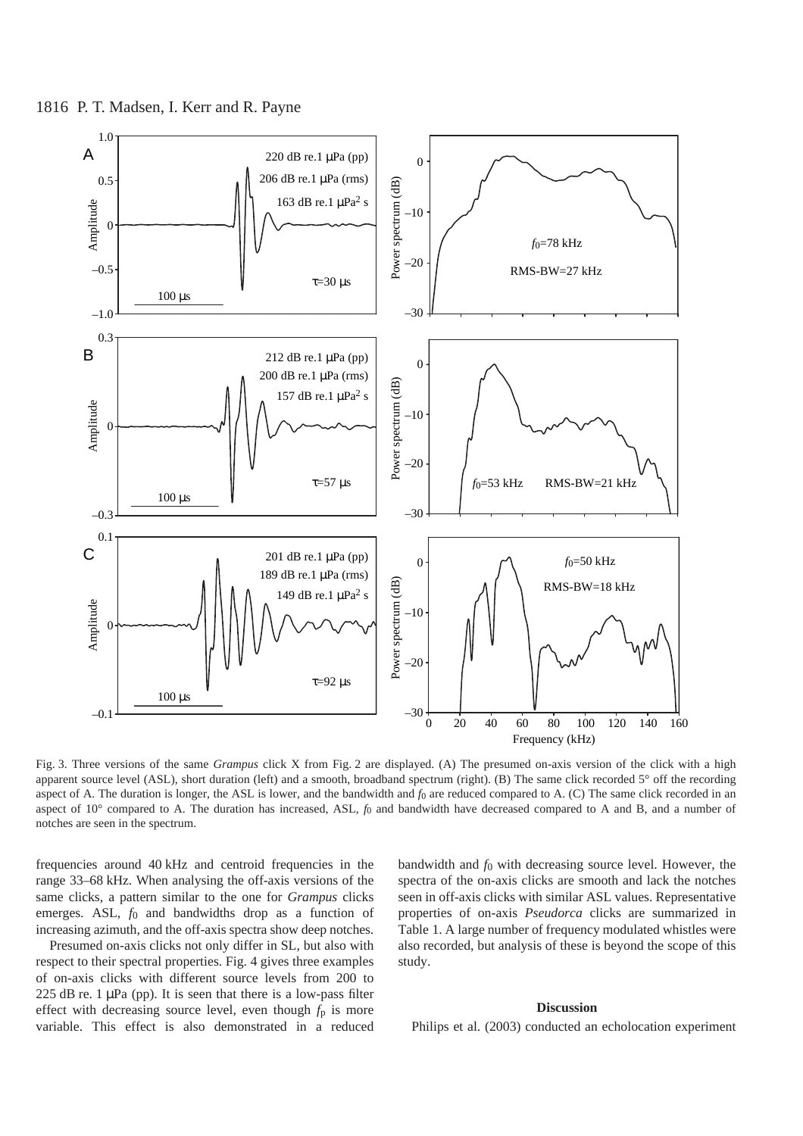

Fig. 3. Three versions of the same *Grampus* click X from Fig. 2 are displayed. (A) The presumed on-axis version of the click with a high apparent source level (ASL), short duration (left) and a smooth, broadband spectrum (right). (B) The same click recorded 5° off the recording aspect of A. The duration is longer, the ASL is lower, and the bandwidth and  $f_0$  are reduced compared to A. (C) The same click recorded in an aspect of 10° compared to A. The duration has increased, ASL, *f*<sub>0</sub> and bandwidth have decreased compared to A and B, and a number of notches are seen in the spectrum.

frequencies around 40 kHz and centroid frequencies in the range 33–68 kHz. When analysing the off-axis versions of the same clicks, a pattern similar to the one for *Grampus* clicks emerges. ASL,  $f_0$  and bandwidths drop as a function of increasing azimuth, and the off-axis spectra show deep notches.

Presumed on-axis clicks not only differ in SL, but also with respect to their spectral properties. Fig. 4 gives three examples of on-axis clicks with different source levels from 200 to 225 dB re.  $1 \mu Pa$  (pp). It is seen that there is a low-pass filter effect with decreasing source level, even though  $f_p$  is more variable. This effect is also demonstrated in a reduced bandwidth and *f*0 with decreasing source level. However, the spectra of the on-axis clicks are smooth and lack the notches seen in off-axis clicks with similar ASL values. Representative properties of on-axis *Pseudorca* clicks are summarized in Table 1. A large number of frequency modulated whistles were also recorded, but analysis of these is beyond the scope of this study.

#### **Discussion**

Philips et al. (2003) conducted an echolocation experiment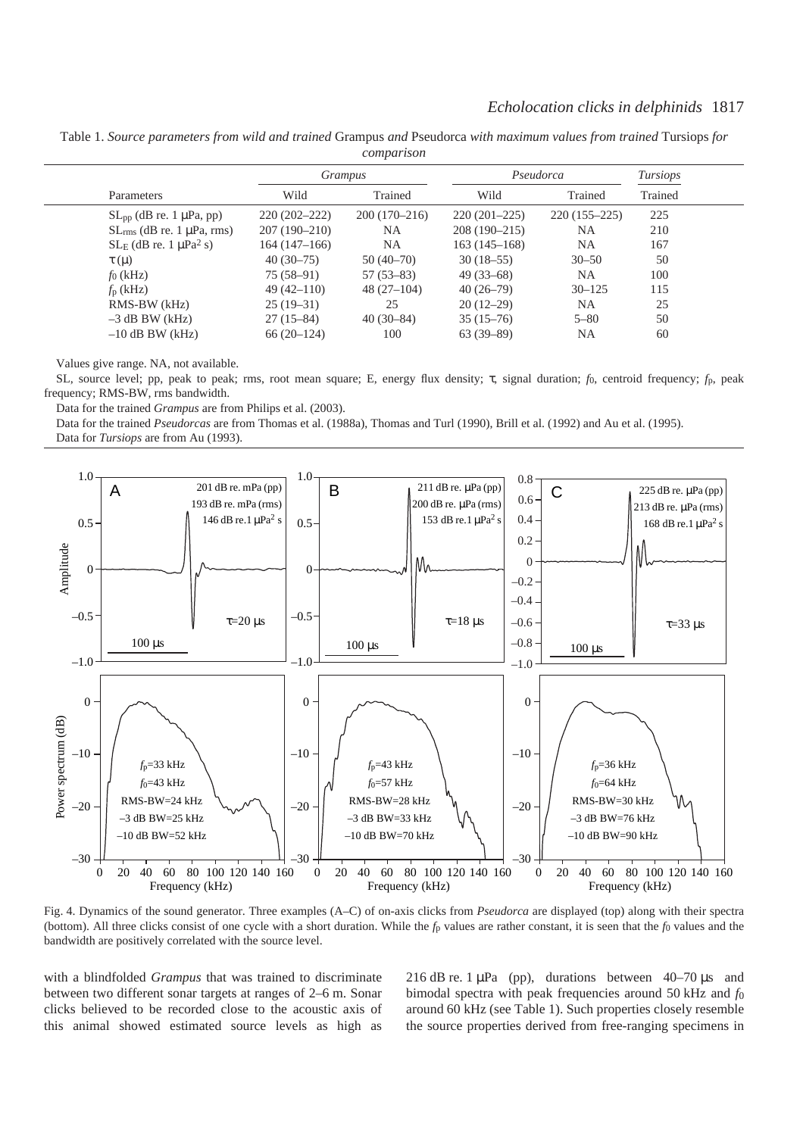|                                           | Grampus        |                | Pseudorca      |                | <i>Tursiops</i> |
|-------------------------------------------|----------------|----------------|----------------|----------------|-----------------|
| Parameters                                | Wild           | Trained        | Wild           | Trained        | Trained         |
| $SL_{pp}$ (dB re. 1 µPa, pp)              | $220(202-222)$ | $200(170-216)$ | $220(201-225)$ | $220(155-225)$ | 225             |
| $SL_{rms}$ (dB re. 1 µPa, rms)            | $207(190-210)$ | NA.            | $208(190-215)$ | <b>NA</b>      | 210             |
| $SL_E$ (dB re. 1 $\mu$ Pa <sup>2</sup> s) | $164(147-166)$ | NA.            | $163(145-168)$ | <b>NA</b>      | 167             |
| $\tau(\mu)$                               | $40(30-75)$    | $50(40-70)$    | $30(18-55)$    | $30 - 50$      | 50              |
| $f_0$ (kHz)                               | $75(58-91)$    | $57(53-83)$    | $49(33-68)$    | <b>NA</b>      | 100             |
| $f_{\rm D}$ (kHz)                         | $49(42 - 110)$ | $48(27-104)$   | $40(26-79)$    | $30 - 125$     | 115             |
| RMS-BW (kHz)                              | $25(19-31)$    | 25             | $20(12-29)$    | <b>NA</b>      | 25              |
| $-3$ dB BW (kHz)                          | $27(15-84)$    | $40(30-84)$    | $35(15-76)$    | $5 - 80$       | 50              |
| $-10$ dB BW (kHz)                         | $66(20-124)$   | 100            | $63(39-89)$    | NA             | 60              |

Table·1. *Source parameters from wild and trained* Grampus *and* Pseudorca *with maximum values from trained* Tursiops *for comparison*

Values give range. NA, not available.

SL, source level; pp, peak to peak; rms, root mean square; E, energy flux density; τ, signal duration; *f*0, centroid frequency; *f*p, peak frequency; RMS-BW, rms bandwidth.

Data for the trained *Grampus* are from Philips et al. (2003).

Data for the trained *Pseudorcas* are from Thomas et al. (1988a), Thomas and Turl (1990), Brill et al. (1992) and Au et al. (1995). Data for *Tursiops* are from Au (1993).



Fig. 4. Dynamics of the sound generator. Three examples (A–C) of on-axis clicks from *Pseudorca* are displayed (top) along with their spectra (bottom). All three clicks consist of one cycle with a short duration. While the *f*p values are rather constant, it is seen that the *f*0 values and the bandwidth are positively correlated with the source level.

with a blindfolded *Grampus* that was trained to discriminate between two different sonar targets at ranges of 2–6 m. Sonar clicks believed to be recorded close to the acoustic axis of this animal showed estimated source levels as high as 216 dB re. 1  $\mu$ Pa (pp), durations between 40–70  $\mu$ s and bimodal spectra with peak frequencies around 50 kHz and  $f_0$ around 60 kHz (see Table 1). Such properties closely resemble the source properties derived from free-ranging specimens in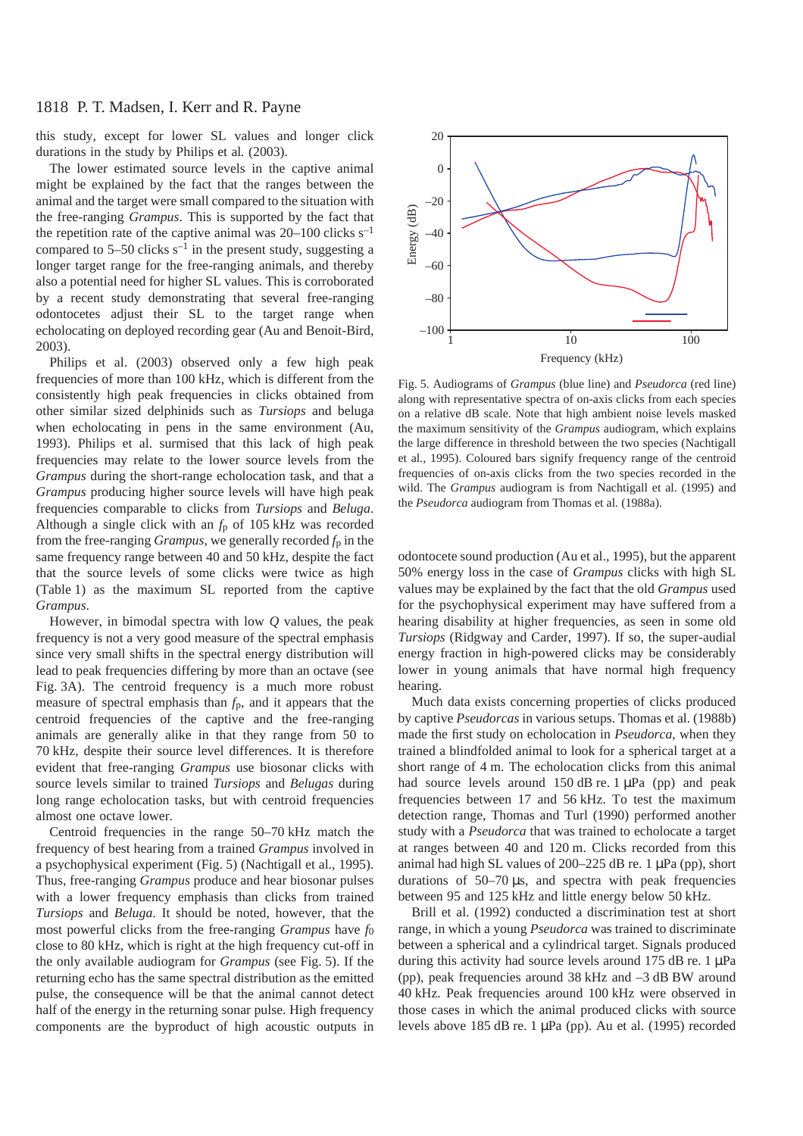this study, except for lower SL values and longer click durations in the study by Philips et al*.* (2003).

The lower estimated source levels in the captive animal might be explained by the fact that the ranges between the animal and the target were small compared to the situation with the free-ranging *Grampus*. This is supported by the fact that the repetition rate of the captive animal was  $20-100$  clicks  $s^{-1}$ compared to 5–50 clicks  $s^{-1}$  in the present study, suggesting a longer target range for the free-ranging animals, and thereby also a potential need for higher SL values. This is corroborated by a recent study demonstrating that several free-ranging odontocetes adjust their SL to the target range when echolocating on deployed recording gear (Au and Benoit-Bird, 2003).

Philips et al. (2003) observed only a few high peak frequencies of more than 100 kHz, which is different from the consistently high peak frequencies in clicks obtained from other similar sized delphinids such as *Tursiops* and beluga when echolocating in pens in the same environment (Au, 1993). Philips et al. surmised that this lack of high peak frequencies may relate to the lower source levels from the *Grampus* during the short-range echolocation task, and that a *Grampus* producing higher source levels will have high peak frequencies comparable to clicks from *Tursiops* and *Beluga*. Although a single click with an  $f<sub>p</sub>$  of 105 kHz was recorded from the free-ranging *Grampus*, we generally recorded  $f_p$  in the same frequency range between 40 and 50 kHz, despite the fact that the source levels of some clicks were twice as high (Table·1) as the maximum SL reported from the captive *Grampus*.

However, in bimodal spectra with low *Q* values, the peak frequency is not a very good measure of the spectral emphasis since very small shifts in the spectral energy distribution will lead to peak frequencies differing by more than an octave (see Fig. 3A). The centroid frequency is a much more robust measure of spectral emphasis than *f*p, and it appears that the centroid frequencies of the captive and the free-ranging animals are generally alike in that they range from 50 to 70 kHz, despite their source level differences. It is therefore evident that free-ranging *Grampus* use biosonar clicks with source levels similar to trained *Tursiops* and *Belugas* during long range echolocation tasks, but with centroid frequencies almost one octave lower.

Centroid frequencies in the range 50–70 kHz match the frequency of best hearing from a trained *Grampus* involved in a psychophysical experiment (Fig. 5) (Nachtigall et al., 1995). Thus, free-ranging *Grampus* produce and hear biosonar pulses with a lower frequency emphasis than clicks from trained *Tursiops* and *Beluga*. It should be noted, however, that the most powerful clicks from the free-ranging *Grampus* have *f*0 close to 80 kHz, which is right at the high frequency cut-off in the only available audiogram for *Grampus* (see Fig. 5). If the returning echo has the same spectral distribution as the emitted pulse, the consequence will be that the animal cannot detect half of the energy in the returning sonar pulse. High frequency components are the byproduct of high acoustic outputs in



Fig. 5. Audiograms of *Grampus* (blue line) and *Pseudorca* (red line) along with representative spectra of on-axis clicks from each species on a relative dB scale. Note that high ambient noise levels masked the maximum sensitivity of the *Grampus* audiogram, which explains the large difference in threshold between the two species (Nachtigall et al*.,* 1995). Coloured bars signify frequency range of the centroid frequencies of on-axis clicks from the two species recorded in the wild. The *Grampus* audiogram is from Nachtigall et al. (1995) and the *Pseudorca* audiogram from Thomas et al. (1988a).

odontocete sound production (Au et al., 1995), but the apparent 50% energy loss in the case of *Grampus* clicks with high SL values may be explained by the fact that the old *Grampus* used for the psychophysical experiment may have suffered from a hearing disability at higher frequencies, as seen in some old *Tursiops* (Ridgway and Carder, 1997). If so, the super-audial energy fraction in high-powered clicks may be considerably lower in young animals that have normal high frequency hearing.

Much data exists concerning properties of clicks produced by captive *Pseudorcas* in various setups. Thomas et al. (1988b) made the first study on echolocation in *Pseudorca*, when they trained a blindfolded animal to look for a spherical target at a short range of  $4 \text{ m}$ . The echolocation clicks from this animal had source levels around  $150$  dB re.  $1 \mu Pa$  (pp) and peak frequencies between 17 and 56 kHz. To test the maximum detection range, Thomas and Turl (1990) performed another study with a *Pseudorca* that was trained to echolocate a target at ranges between 40 and 120 m. Clicks recorded from this animal had high SL values of  $200-225$  dB re. 1  $\mu$ Pa (pp), short durations of  $50-70 \mu s$ , and spectra with peak frequencies between 95 and 125 kHz and little energy below 50 kHz.

Brill et al. (1992) conducted a discrimination test at short range, in which a young *Pseudorca* was trained to discriminate between a spherical and a cylindrical target. Signals produced during this activity had source levels around  $175$  dB re. 1  $\mu$ Pa (pp), peak frequencies around  $38$  kHz and  $-3$  dB BW around 40 kHz. Peak frequencies around 100 kHz were observed in those cases in which the animal produced clicks with source levels above 185 dB re.  $1 \mu Pa$  (pp). Au et al. (1995) recorded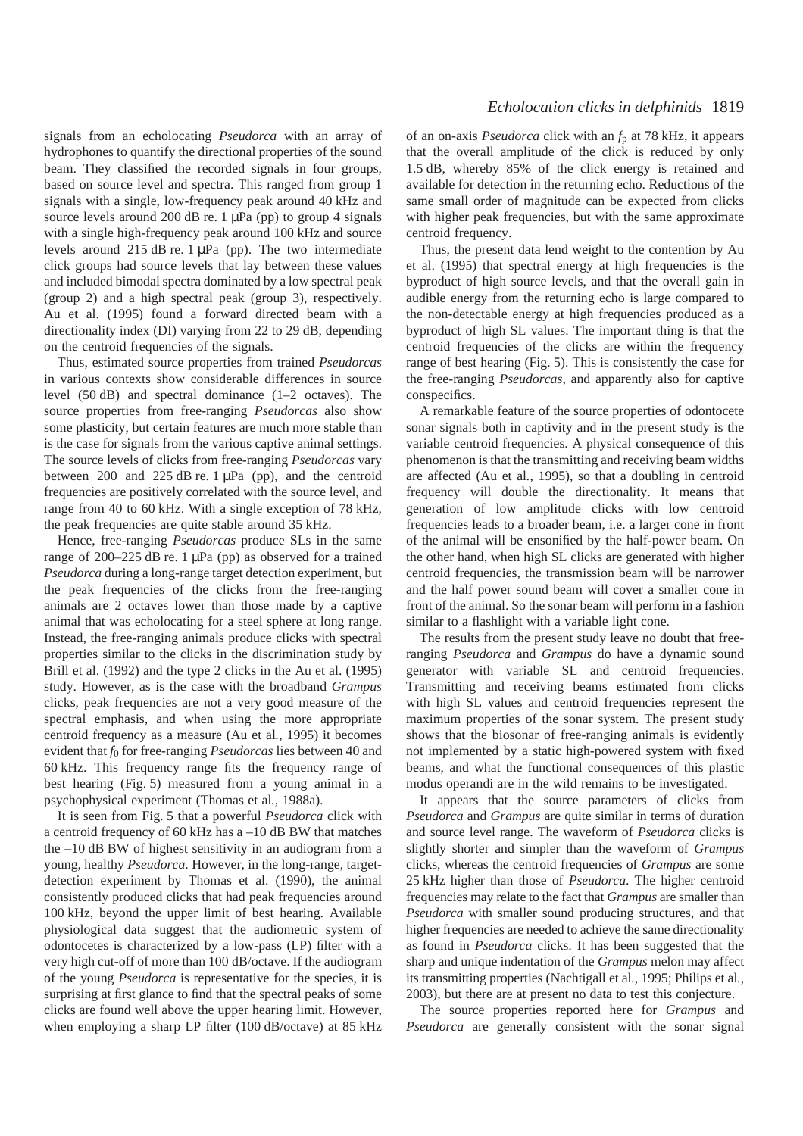signals from an echolocating *Pseudorca* with an array of hydrophones to quantify the directional properties of the sound beam. They classified the recorded signals in four groups, based on source level and spectra. This ranged from group 1 signals with a single, low-frequency peak around 40 kHz and source levels around 200 dB re.  $1 \mu Pa$  (pp) to group 4 signals with a single high-frequency peak around 100 kHz and source levels around  $215$  dB re. 1  $\mu$ Pa (pp). The two intermediate click groups had source levels that lay between these values and included bimodal spectra dominated by a low spectral peak (group 2) and a high spectral peak (group 3), respectively. Au et al. (1995) found a forward directed beam with a directionality index (DI) varying from 22 to 29 dB, depending on the centroid frequencies of the signals.

Thus, estimated source properties from trained *Pseudorcas* in various contexts show considerable differences in source level  $(50 dB)$  and spectral dominance  $(1–2 \text{ octaves})$ . The source properties from free-ranging *Pseudorcas* also show some plasticity, but certain features are much more stable than is the case for signals from the various captive animal settings. The source levels of clicks from free-ranging *Pseudorcas* vary between 200 and 225 dB re.  $1 \mu Pa$  (pp), and the centroid frequencies are positively correlated with the source level, and range from 40 to 60 kHz. With a single exception of 78 kHz, the peak frequencies are quite stable around 35 kHz.

Hence, free-ranging *Pseudorcas* produce SLs in the same range of 200–225 dB re.  $1 \mu Pa$  (pp) as observed for a trained *Pseudorca* during a long-range target detection experiment, but the peak frequencies of the clicks from the free-ranging animals are 2 octaves lower than those made by a captive animal that was echolocating for a steel sphere at long range. Instead, the free-ranging animals produce clicks with spectral properties similar to the clicks in the discrimination study by Brill et al. (1992) and the type 2 clicks in the Au et al. (1995) study. However, as is the case with the broadband *Grampus* clicks, peak frequencies are not a very good measure of the spectral emphasis, and when using the more appropriate centroid frequency as a measure (Au et al*.*, 1995) it becomes evident that *f*0 for free-ranging *Pseudorcas* lies between 40 and 60 kHz. This frequency range fits the frequency range of best hearing (Fig. 5) measured from a young animal in a psychophysical experiment (Thomas et al*.*, 1988a).

It is seen from Fig. 5 that a powerful *Pseudorca* click with a centroid frequency of 60 kHz has  $a - 10$  dB BW that matches the  $-10$  dB BW of highest sensitivity in an audiogram from a young, healthy *Pseudorca*. However, in the long-range, targetdetection experiment by Thomas et al. (1990), the animal consistently produced clicks that had peak frequencies around 100 kHz, beyond the upper limit of best hearing. Available physiological data suggest that the audiometric system of odontocetes is characterized by a low-pass (LP) filter with a very high cut-off of more than 100 dB/octave. If the audiogram of the young *Pseudorca* is representative for the species, it is surprising at first glance to find that the spectral peaks of some clicks are found well above the upper hearing limit. However, when employing a sharp LP filter  $(100 \text{ dB/octave})$  at 85 kHz

## *Echolocation clicks in delphinids* 1819

of an on-axis *Pseudorca* click with an *f*p at 78·kHz, it appears that the overall amplitude of the click is reduced by only 1.5 dB, whereby 85% of the click energy is retained and available for detection in the returning echo. Reductions of the same small order of magnitude can be expected from clicks with higher peak frequencies, but with the same approximate centroid frequency.

Thus, the present data lend weight to the contention by Au et al. (1995) that spectral energy at high frequencies is the byproduct of high source levels, and that the overall gain in audible energy from the returning echo is large compared to the non-detectable energy at high frequencies produced as a byproduct of high SL values. The important thing is that the centroid frequencies of the clicks are within the frequency range of best hearing (Fig. 5). This is consistently the case for the free-ranging *Pseudorcas*, and apparently also for captive conspecifics.

A remarkable feature of the source properties of odontocete sonar signals both in captivity and in the present study is the variable centroid frequencies. A physical consequence of this phenomenon is that the transmitting and receiving beam widths are affected (Au et al*.*, 1995), so that a doubling in centroid frequency will double the directionality. It means that generation of low amplitude clicks with low centroid frequencies leads to a broader beam, i.e. a larger cone in front of the animal will be ensonified by the half-power beam. On the other hand, when high SL clicks are generated with higher centroid frequencies, the transmission beam will be narrower and the half power sound beam will cover a smaller cone in front of the animal. So the sonar beam will perform in a fashion similar to a flashlight with a variable light cone.

The results from the present study leave no doubt that freeranging *Pseudorca* and *Grampus* do have a dynamic sound generator with variable SL and centroid frequencies. Transmitting and receiving beams estimated from clicks with high SL values and centroid frequencies represent the maximum properties of the sonar system. The present study shows that the biosonar of free-ranging animals is evidently not implemented by a static high-powered system with fixed beams, and what the functional consequences of this plastic modus operandi are in the wild remains to be investigated.

It appears that the source parameters of clicks from *Pseudorca* and *Grampus* are quite similar in terms of duration and source level range. The waveform of *Pseudorca* clicks is slightly shorter and simpler than the waveform of *Grampus* clicks, whereas the centroid frequencies of *Grampus* are some 25·kHz higher than those of *Pseudorca*. The higher centroid frequencies may relate to the fact that *Grampus* are smaller than *Pseudorca* with smaller sound producing structures, and that higher frequencies are needed to achieve the same directionality as found in *Pseudorca* clicks. It has been suggested that the sharp and unique indentation of the *Grampus* melon may affect its transmitting properties (Nachtigall et al*.*, 1995; Philips et al*.*, 2003), but there are at present no data to test this conjecture.

The source properties reported here for *Grampus* and *Pseudorca* are generally consistent with the sonar signal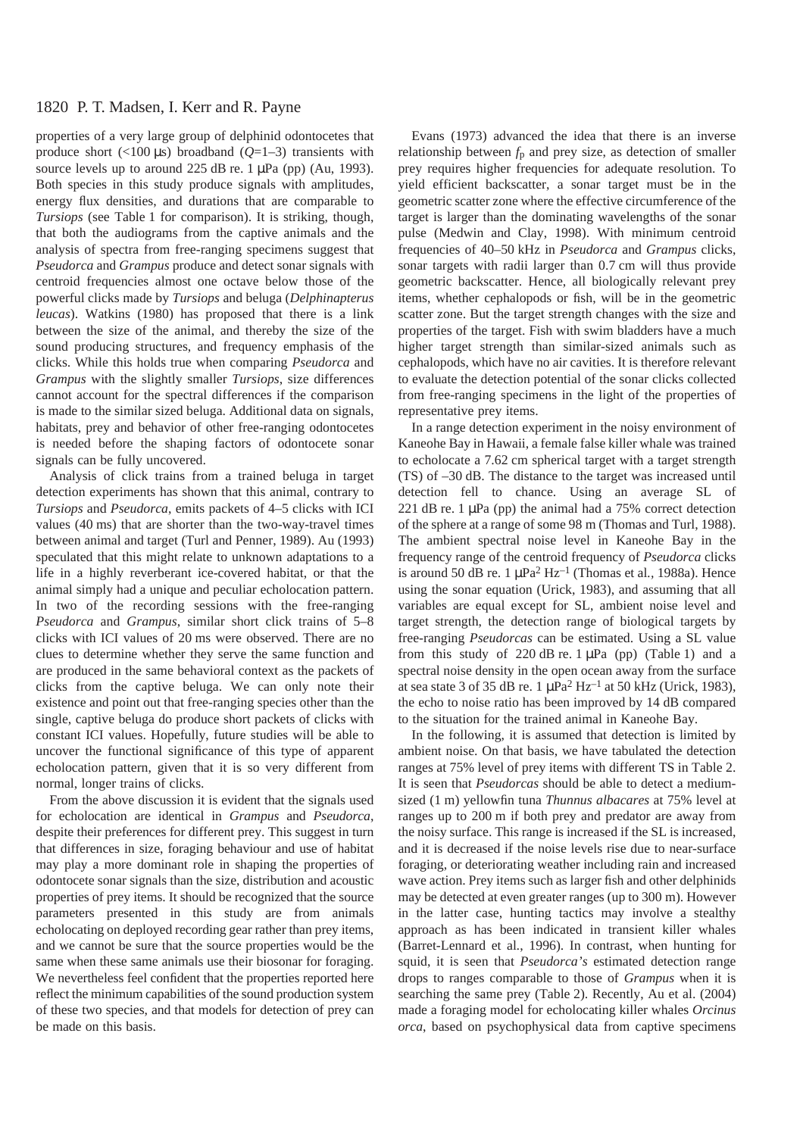properties of a very large group of delphinid odontocetes that produce short  $\left($ <100  $\mu$ s) broadband  $\left(Q=1-3\right)$  transients with source levels up to around 225 dB re.  $1 \mu Pa$  (pp) (Au, 1993). Both species in this study produce signals with amplitudes, energy flux densities, and durations that are comparable to *Tursiops* (see Table 1 for comparison). It is striking, though, that both the audiograms from the captive animals and the analysis of spectra from free-ranging specimens suggest that *Pseudorca* and *Grampus* produce and detect sonar signals with centroid frequencies almost one octave below those of the powerful clicks made by *Tursiops* and beluga (*Delphinapterus leucas*). Watkins (1980) has proposed that there is a link between the size of the animal, and thereby the size of the sound producing structures, and frequency emphasis of the clicks. While this holds true when comparing *Pseudorca* and *Grampus* with the slightly smaller *Tursiops*, size differences cannot account for the spectral differences if the comparison is made to the similar sized beluga. Additional data on signals, habitats, prey and behavior of other free-ranging odontocetes is needed before the shaping factors of odontocete sonar signals can be fully uncovered.

Analysis of click trains from a trained beluga in target detection experiments has shown that this animal, contrary to *Tursiops* and *Pseudorca*, emits packets of 4–5 clicks with ICI values (40 ms) that are shorter than the two-way-travel times between animal and target (Turl and Penner, 1989). Au (1993) speculated that this might relate to unknown adaptations to a life in a highly reverberant ice-covered habitat, or that the animal simply had a unique and peculiar echolocation pattern. In two of the recording sessions with the free-ranging *Pseudorca* and *Grampus*, similar short click trains of 5–8 clicks with ICI values of 20 ms were observed. There are no clues to determine whether they serve the same function and are produced in the same behavioral context as the packets of clicks from the captive beluga. We can only note their existence and point out that free-ranging species other than the single, captive beluga do produce short packets of clicks with constant ICI values. Hopefully, future studies will be able to uncover the functional significance of this type of apparent echolocation pattern, given that it is so very different from normal, longer trains of clicks.

From the above discussion it is evident that the signals used for echolocation are identical in *Grampus* and *Pseudorca*, despite their preferences for different prey. This suggest in turn that differences in size, foraging behaviour and use of habitat may play a more dominant role in shaping the properties of odontocete sonar signals than the size, distribution and acoustic properties of prey items. It should be recognized that the source parameters presented in this study are from animals echolocating on deployed recording gear rather than prey items, and we cannot be sure that the source properties would be the same when these same animals use their biosonar for foraging. We nevertheless feel confident that the properties reported here reflect the minimum capabilities of the sound production system of these two species, and that models for detection of prey can be made on this basis.

Evans (1973) advanced the idea that there is an inverse relationship between  $f_p$  and prey size, as detection of smaller prey requires higher frequencies for adequate resolution. To yield efficient backscatter, a sonar target must be in the geometric scatter zone where the effective circumference of the target is larger than the dominating wavelengths of the sonar pulse (Medwin and Clay, 1998). With minimum centroid frequencies of 40–50 kHz in *Pseudorca* and *Grampus* clicks, sonar targets with radii larger than 0.7 cm will thus provide geometric backscatter. Hence, all biologically relevant prey items, whether cephalopods or fish, will be in the geometric scatter zone. But the target strength changes with the size and properties of the target. Fish with swim bladders have a much higher target strength than similar-sized animals such as cephalopods, which have no air cavities. It is therefore relevant to evaluate the detection potential of the sonar clicks collected from free-ranging specimens in the light of the properties of representative prey items.

In a range detection experiment in the noisy environment of Kaneohe Bay in Hawaii, a female false killer whale was trained to echolocate a 7.62 cm spherical target with a target strength (TS) of –30·dB. The distance to the target was increased until detection fell to chance. Using an average SL of 221 dB re. 1  $\mu$ Pa (pp) the animal had a 75% correct detection of the sphere at a range of some 98 m (Thomas and Turl, 1988). The ambient spectral noise level in Kaneohe Bay in the frequency range of the centroid frequency of *Pseudorca* clicks is around 50 dB re.  $1 \mu Pa^2 Hz^{-1}$  (Thomas et al., 1988a). Hence using the sonar equation (Urick, 1983), and assuming that all variables are equal except for SL, ambient noise level and target strength, the detection range of biological targets by free-ranging *Pseudorcas* can be estimated. Using a SL value from this study of 220 dB re.  $1 \mu Pa$  (pp) (Table 1) and a spectral noise density in the open ocean away from the surface at sea state 3 of 35 dB re. 1  $\mu$ Pa<sup>2</sup> Hz<sup>-1</sup> at 50 kHz (Urick, 1983), the echo to noise ratio has been improved by 14 dB compared to the situation for the trained animal in Kaneohe Bay.

In the following, it is assumed that detection is limited by ambient noise. On that basis, we have tabulated the detection ranges at 75% level of prey items with different TS in Table 2. It is seen that *Pseudorcas* should be able to detect a mediumsized (1 m) yellowfin tuna *Thunnus albacares* at 75% level at ranges up to 200 m if both prey and predator are away from the noisy surface. This range is increased if the SL is increased, and it is decreased if the noise levels rise due to near-surface foraging, or deteriorating weather including rain and increased wave action. Prey items such as larger fish and other delphinids may be detected at even greater ranges (up to 300 m). However in the latter case, hunting tactics may involve a stealthy approach as has been indicated in transient killer whales (Barret-Lennard et al*.*, 1996). In contrast, when hunting for squid, it is seen that *Pseudorca's* estimated detection range drops to ranges comparable to those of *Grampus* when it is searching the same prey (Table 2). Recently, Au et al. (2004) made a foraging model for echolocating killer whales *Orcinus orca*, based on psychophysical data from captive specimens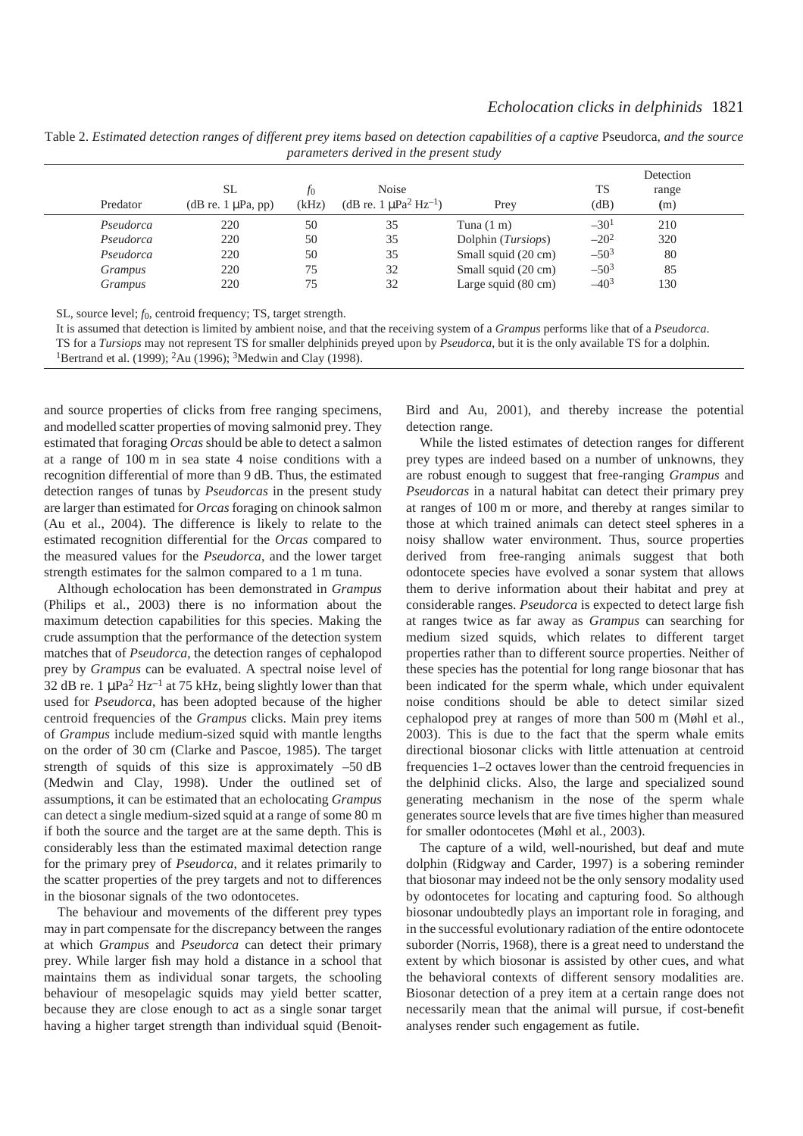|                |                             |       |                                                    |                               |           | Detection |
|----------------|-----------------------------|-------|----------------------------------------------------|-------------------------------|-----------|-----------|
|                | SL                          | Ť0    | Noise                                              |                               | TS        | range     |
| Predator       | $(dB \r{re.} 1 \mu Pa, pp)$ | (kHz) | (dB re. 1 $\mu$ Pa <sup>2</sup> Hz <sup>-1</sup> ) | Prey                          | (dB)      | (m)       |
| Pseudorca      | 220                         | 50    | 35                                                 | Tuna $(1 \text{ m})$          | $-301$    | 210       |
| Pseudorca      | 220                         | 50    | 35                                                 | Dolphin ( <i>Tursiops</i> )   | $-20^2$   | 320       |
| Pseudorca      | 220                         | 50    | 35                                                 | Small squid (20 cm)           | $-50^{3}$ | 80        |
| Grampus        | 220                         | 75    | 32                                                 | Small squid (20 cm)           | $-50^{3}$ | 85        |
| <b>Grampus</b> | 220                         | 75    | 32                                                 | Large squid $(80 \text{ cm})$ | $-40^{3}$ | 130       |

Table 2. *Estimated detection ranges of different prey items based on detection capabilities of a captive Pseudorca, and the source parameters derived in the present study*

SL, source level; *f*0, centroid frequency; TS, target strength.

It is assumed that detection is limited by ambient noise, and that the receiving system of a *Grampus* performs like that of a *Pseudorca*. TS for a *Tursiops* may not represent TS for smaller delphinids preyed upon by *Pseudorca*, but it is the only available TS for a dolphin. <sup>1</sup>Bertrand et al. (1999); <sup>2</sup>Au (1996); <sup>3</sup>Medwin and Clay (1998).

and source properties of clicks from free ranging specimens, and modelled scatter properties of moving salmonid prey. They estimated that foraging *Orcas* should be able to detect a salmon at a range of 100 m in sea state 4 noise conditions with a recognition differential of more than 9 dB. Thus, the estimated detection ranges of tunas by *Pseudorcas* in the present study are larger than estimated for *Orcas* foraging on chinook salmon (Au et al., 2004). The difference is likely to relate to the estimated recognition differential for the *Orcas* compared to the measured values for the *Pseudorca*, and the lower target strength estimates for the salmon compared to a 1 m tuna.

Although echolocation has been demonstrated in *Grampus* (Philips et al*.*, 2003) there is no information about the maximum detection capabilities for this species. Making the crude assumption that the performance of the detection system matches that of *Pseudorca*, the detection ranges of cephalopod prey by *Grampus* can be evaluated. A spectral noise level of 32 dB re. 1  $\mu$ Pa<sup>2</sup> Hz<sup>-1</sup> at 75 kHz, being slightly lower than that used for *Pseudorca*, has been adopted because of the higher centroid frequencies of the *Grampus* clicks. Main prey items of *Grampus* include medium-sized squid with mantle lengths on the order of 30 cm (Clarke and Pascoe, 1985). The target strength of squids of this size is approximately  $-50$  dB (Medwin and Clay, 1998). Under the outlined set of assumptions, it can be estimated that an echolocating *Grampus* can detect a single medium-sized squid at a range of some 80 m if both the source and the target are at the same depth. This is considerably less than the estimated maximal detection range for the primary prey of *Pseudorca*, and it relates primarily to the scatter properties of the prey targets and not to differences in the biosonar signals of the two odontocetes.

The behaviour and movements of the different prey types may in part compensate for the discrepancy between the ranges at which *Grampus* and *Pseudorca* can detect their primary prey. While larger fish may hold a distance in a school that maintains them as individual sonar targets, the schooling behaviour of mesopelagic squids may yield better scatter, because they are close enough to act as a single sonar target having a higher target strength than individual squid (BenoitBird and Au, 2001), and thereby increase the potential detection range.

While the listed estimates of detection ranges for different prey types are indeed based on a number of unknowns, they are robust enough to suggest that free-ranging *Grampus* and *Pseudorcas* in a natural habitat can detect their primary prey at ranges of 100 m or more, and thereby at ranges similar to those at which trained animals can detect steel spheres in a noisy shallow water environment. Thus, source properties derived from free-ranging animals suggest that both odontocete species have evolved a sonar system that allows them to derive information about their habitat and prey at considerable ranges. *Pseudorca* is expected to detect large fish at ranges twice as far away as *Grampus* can searching for medium sized squids, which relates to different target properties rather than to different source properties. Neither of these species has the potential for long range biosonar that has been indicated for the sperm whale, which under equivalent noise conditions should be able to detect similar sized cephalopod prey at ranges of more than 500 m (Møhl et al., 2003). This is due to the fact that the sperm whale emits directional biosonar clicks with little attenuation at centroid frequencies 1–2 octaves lower than the centroid frequencies in the delphinid clicks. Also, the large and specialized sound generating mechanism in the nose of the sperm whale generates source levels that are five times higher than measured for smaller odontocetes (Møhl et al*.*, 2003).

The capture of a wild, well-nourished, but deaf and mute dolphin (Ridgway and Carder, 1997) is a sobering reminder that biosonar may indeed not be the only sensory modality used by odontocetes for locating and capturing food. So although biosonar undoubtedly plays an important role in foraging, and in the successful evolutionary radiation of the entire odontocete suborder (Norris, 1968), there is a great need to understand the extent by which biosonar is assisted by other cues, and what the behavioral contexts of different sensory modalities are. Biosonar detection of a prey item at a certain range does not necessarily mean that the animal will pursue, if cost-benefit analyses render such engagement as futile.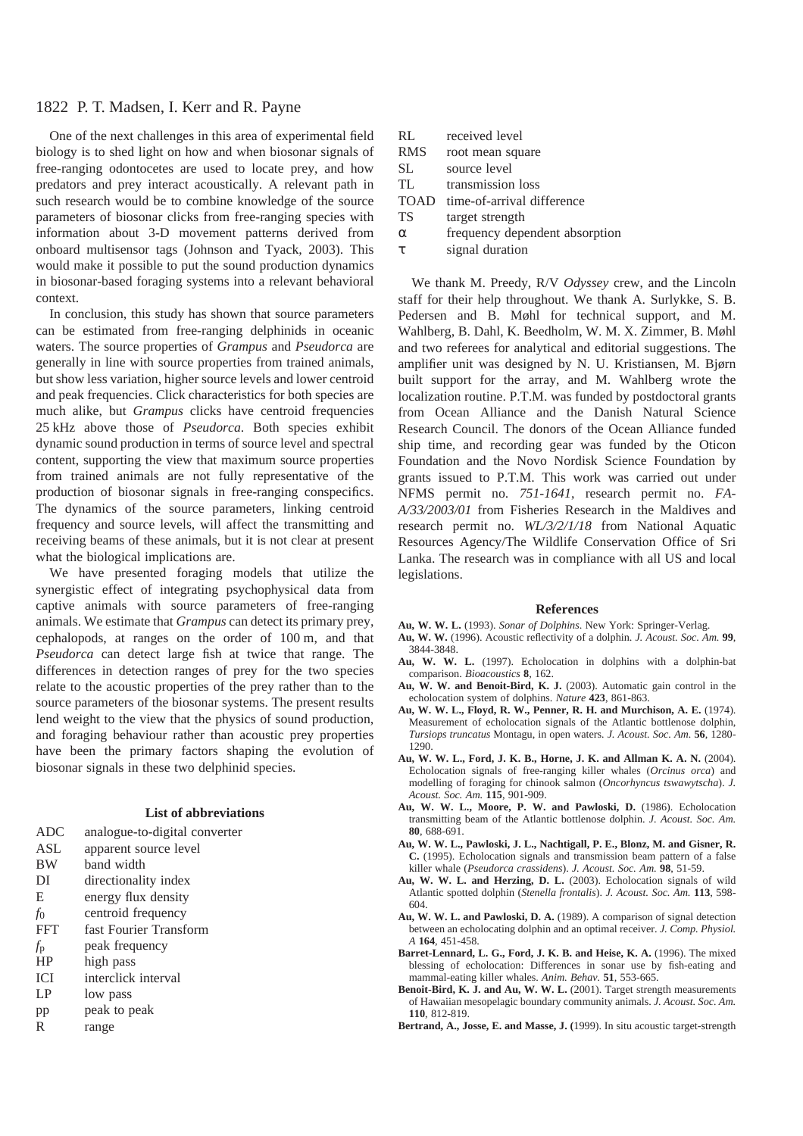One of the next challenges in this area of experimental field biology is to shed light on how and when biosonar signals of free-ranging odontocetes are used to locate prey, and how predators and prey interact acoustically. A relevant path in such research would be to combine knowledge of the source parameters of biosonar clicks from free-ranging species with information about 3-D movement patterns derived from onboard multisensor tags (Johnson and Tyack*,* 2003). This would make it possible to put the sound production dynamics in biosonar-based foraging systems into a relevant behavioral context.

In conclusion, this study has shown that source parameters can be estimated from free-ranging delphinids in oceanic waters. The source properties of *Grampus* and *Pseudorca* are generally in line with source properties from trained animals, but show less variation, higher source levels and lower centroid and peak frequencies. Click characteristics for both species are much alike, but *Grampus* clicks have centroid frequencies 25·kHz above those of *Pseudorca*. Both species exhibit dynamic sound production in terms of source level and spectral content, supporting the view that maximum source properties from trained animals are not fully representative of the production of biosonar signals in free-ranging conspecifics. The dynamics of the source parameters, linking centroid frequency and source levels, will affect the transmitting and receiving beams of these animals, but it is not clear at present what the biological implications are.

We have presented foraging models that utilize the synergistic effect of integrating psychophysical data from captive animals with source parameters of free-ranging animals. We estimate that *Grampus* can detect its primary prey, cephalopods, at ranges on the order of 100 m, and that *Pseudorca* can detect large fish at twice that range. The differences in detection ranges of prey for the two species relate to the acoustic properties of the prey rather than to the source parameters of the biosonar systems. The present results lend weight to the view that the physics of sound production, and foraging behaviour rather than acoustic prey properties have been the primary factors shaping the evolution of biosonar signals in these two delphinid species.

#### **List of abbreviations**

|  | <b>ADC</b> | analogue-to-digital converter |  |
|--|------------|-------------------------------|--|
|--|------------|-------------------------------|--|

- ASL apparent source level
- BW band width<br>DI directionalis
- directionality index
- E energy flux density
- *f*<sup>0</sup> centroid frequency
- FFT fast Fourier Transform
- *f*p peak frequency
- HP high pass
- ICI interclick interval
- LP low pass
- pp peak to peak
- R range

| RL.         | received level                 |
|-------------|--------------------------------|
| <b>RMS</b>  | root mean square               |
| SL.         | source level                   |
| TL.         | transmission loss              |
| <b>TOAD</b> | time-of-arrival difference     |
| TS          | target strength                |
| $\alpha$    | frequency dependent absorption |
|             |                                |

τ signal duration

We thank M. Preedy, R/V *Odyssey* crew, and the Lincoln staff for their help throughout. We thank A. Surlykke, S. B. Pedersen and B. Møhl for technical support, and M. Wahlberg, B. Dahl, K. Beedholm, W. M. X. Zimmer, B. Møhl and two referees for analytical and editorial suggestions. The amplifier unit was designed by N. U. Kristiansen, M. Bjørn built support for the array, and M. Wahlberg wrote the localization routine. P.T.M. was funded by postdoctoral grants from Ocean Alliance and the Danish Natural Science Research Council. The donors of the Ocean Alliance funded ship time, and recording gear was funded by the Oticon Foundation and the Novo Nordisk Science Foundation by grants issued to P.T.M. This work was carried out under NFMS permit no. *751-1641*, research permit no. *FA-A/33/2003/01* from Fisheries Research in the Maldives and research permit no. *WL/3/2/1/18* from National Aquatic Resources Agency/The Wildlife Conservation Office of Sri Lanka. The research was in compliance with all US and local legislations.

#### **References**

- **Au, W. W. L.** (1993). *Sonar of Dolphins*. New York: Springer-Verlag.
- **Au, W. W.** (1996). Acoustic reflectivity of a dolphin. *J. Acoust. Soc. Am.* **99**, 3844-3848.
- **Au, W. W. L.** (1997). Echolocation in dolphins with a dolphin-bat comparison. *Bioacoustics* **8**, 162.
- **Au, W. W. and Benoit-Bird, K. J.** (2003). Automatic gain control in the echolocation system of dolphins. *Nature* **423**, 861-863.
- **Au, W. W. L., Floyd, R. W., Penner, R. H. and Murchison, A. E.** (1974). Measurement of echolocation signals of the Atlantic bottlenose dolphin, *Tursiops truncatus* Montagu, in open waters*. J. Acoust. Soc. Am.* **56**, 1280- 1290.
- **Au, W. W. L., Ford, J. K. B., Horne, J. K. and Allman K. A. N.** (2004). Echolocation signals of free-ranging killer whales (*Orcinus orca*) and modelling of foraging for chinook salmon (*Oncorhyncus tswawytscha*). *J. Acoust. Soc. Am.* **115**, 901-909.
- **Au, W. W. L., Moore, P. W. and Pawloski, D.** (1986). Echolocation transmitting beam of the Atlantic bottlenose dolphin. *J. Acoust. Soc. Am.* **80**, 688-691.
- **Au, W. W. L., Pawloski, J. L., Nachtigall, P. E., Blonz, M. and Gisner, R. C.** (1995). Echolocation signals and transmission beam pattern of a false killer whale (*Pseudorca crassidens*). *J. Acoust. Soc. Am.* **98**, 51-59.
- **Au, W. W. L. and Herzing, D. L.** (2003). Echolocation signals of wild Atlantic spotted dolphin (*Stenella frontalis*). *J. Acoust. Soc. Am.* **113**, 598- 604.
- **Au, W. W. L. and Pawloski, D. A.** (1989). A comparison of signal detection between an echolocating dolphin and an optimal receiver. *J. Comp. Physiol. A* **164**, 451-458.
- Barret-Lennard, L. G., Ford, J. K. B. and Heise, K. A. (1996). The mixed blessing of echolocation: Differences in sonar use by fish-eating and mammal-eating killer whales. *Anim. Behav.* **51**, 553-665.
- Benoit-Bird, K. J. and Au, W. W. L. (2001). Target strength measurements of Hawaiian mesopelagic boundary community animals. *J. Acoust. Soc. Am.* **110**, 812-819.
- **Bertrand, A., Josse, E. and Masse, J. (**1999). In situ acoustic target-strength